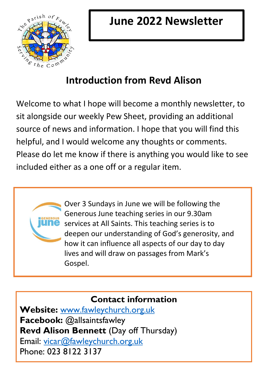

# **Introduction from Revd Alison**

Welcome to what I hope will become a monthly newsletter, to sit alongside our weekly Pew Sheet, providing an additional source of news and information. I hope that you will find this helpful, and I would welcome any thoughts or comments. Please do let me know if there is anything you would like to see included either as a one off or a regular item.



Over 3 Sundays in June we will be following the Generous June teaching series in our 9.30am services at All Saints. This teaching series is to deepen our understanding of God's generosity, and how it can influence all aspects of our day to day lives and will draw on passages from Mark's Gospel.

## **Contact information**

**Website:** [www.fawleychurch.org.uk](http://www.fawleychurch.org.uk/) **Facebook:** @allsaintsfawley **Revd Alison Bennett** (Day off Thursday) Email: [vicar@fawleychurch.org.uk](mailto:vicar@fawleychurch.org.uk) Phone: 023 8122 3137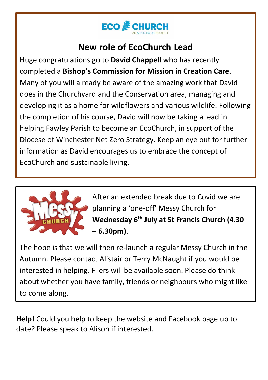

### **New role of EcoChurch Lead**

Huge congratulations go to **David Chappell** who has recently completed a **Bishop's Commission for Mission in Creation Care**. Many of you will already be aware of the amazing work that David does in the Churchyard and the Conservation area, managing and developing it as a home for wildflowers and various wildlife. Following the completion of his course, David will now be taking a lead in helping Fawley Parish to become an EcoChurch, in support of the Diocese of Winchester Net Zero Strategy. Keep an eye out for further information as David encourages us to embrace the concept of EcoChurch and sustainable living.



After an extended break due to Covid we are planning a 'one-off' Messy Church for **Wednesday 6th July at St Francis Church (4.30 – 6.30pm)**.

The hope is that we will then re-launch a regular Messy Church in the Autumn. Please contact Alistair or Terry McNaught if you would be interested in helping. Fliers will be available soon. Please do think about whether you have family, friends or neighbours who might like to come along.

**Help!** Could you help to keep the website and Facebook page up to date? Please speak to Alison if interested.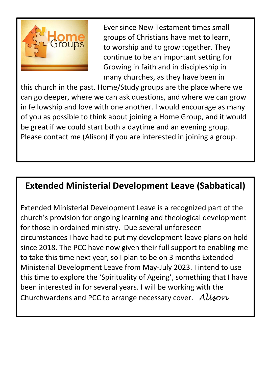

Ever since New Testament times small groups of Christians have met to learn, to worship and to grow together. They continue to be an important setting for Growing in faith and in discipleship in many churches, as they have been in

this church in the past. Home/Study groups are the place where we can go deeper, where we can ask questions, and where we can grow in fellowship and love with one another. I would encourage as many of you as possible to think about joining a Home Group, and it would be great if we could start both a daytime and an evening group. Please contact me (Alison) if you are interested in joining a group.

#### **Extended Ministerial Development Leave (Sabbatical)**

Extended Ministerial Development Leave is a recognized part of the church's provision for ongoing learning and theological development for those in ordained ministry. Due several unforeseen circumstances I have had to put my development leave plans on hold since 2018. The PCC have now given their full support to enabling me to take this time next year, so I plan to be on 3 months Extended Ministerial Development Leave from May-July 2023. I intend to use this time to explore the 'Spirituality of Ageing', something that I have been interested in for several years. I will be working with the Churchwardens and PCC to arrange necessary cover. *Alison*